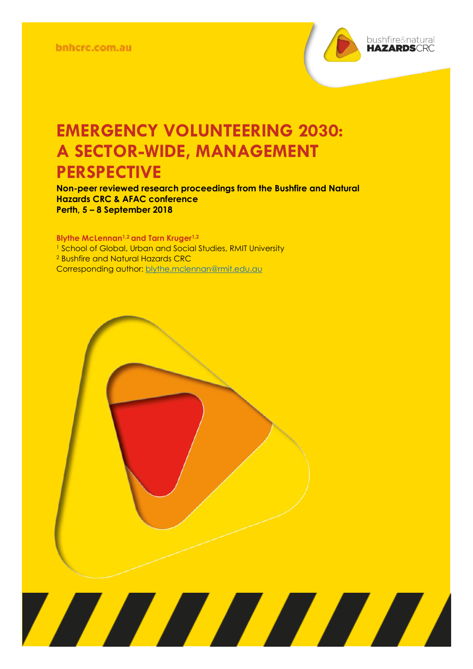

## **EMERGENCY VOLUNTEERING 2030: A SECTOR-WIDE, MANAGEMENT PERSPECTIVE**

**Non-peer reviewed research proceedings from the Bushfire and Natural Hazards CRC & AFAC conference Perth, 5 – 8 September 2018**

<u> Alian Alian Karena dago dago da karena dago da karena dago da karena dago da karena dago da karena da karena </u>

**Blythe McLennan1,2 and Tarn Kruger1,2**

<sup>1</sup> School of Global, Urban and Social Studies, RMIT University <sup>2</sup> Bushfire and Natural Hazards CRC Corresponding author: [blythe.mclennan@rmit.edu.au](mailto:blythe.mclennan@rmit.edu.au)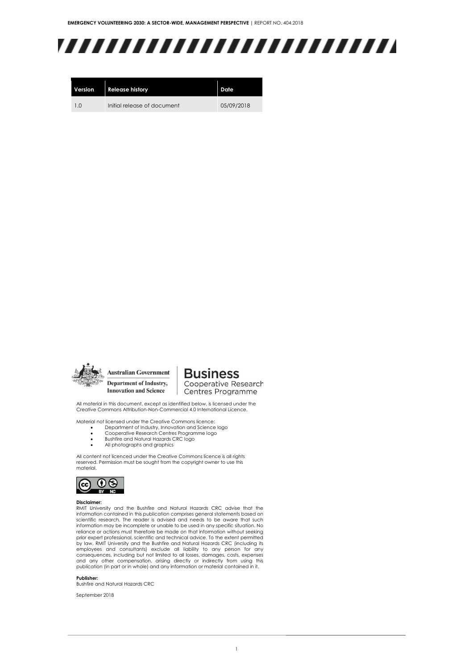| Version | <b>Release history</b>      | Date       |
|---------|-----------------------------|------------|
| 10      | Initial release of document | 05/09/2018 |



**Australian Government** Department of Industry, **Innovation and Science** 

#### **Business** Cooperative Research

Centres Programme

All material in this document, except as identified below, is licensed under the Creative Commons Attribution-Non-Commercial 4.0 International Licence.

Material not licensed under the Creative Commons licence:

- Department of Industry, Innovation and Science logo Cooperative Research Centres Programme logo
- Bushfire and Natural Hazards CRC logo
- All photographs and graphics

All content not licenced under the Creative Commons licence is all rights reserved. Permission must be sought from the copyright owner to use this material.



#### **Disclaimer:**

RMIT University and the Bushfire and Natural Hazards CRC advise that the information contained in this publication comprises general statements based on scientific research. The reader is advised and needs to be aware that such information may be incomplete or unable to be used in any specific situation. No reliance or actions must therefore be made on that information without seeking prior expert professional, scientific and technical advice. To the extent permitted by law, RMIT University and the Bushfire and Natural Hazards CRC (including its<br>employees and consultants) exclude all liability to any person for any<br>consequences, including but not limited to all losses, damage and any other compensation, arising directly or indirectly from using this publication (in part or in whole) and any information or material contained in it.

**Publisher:**

Bushfire and Natural Hazards CRC

September 2018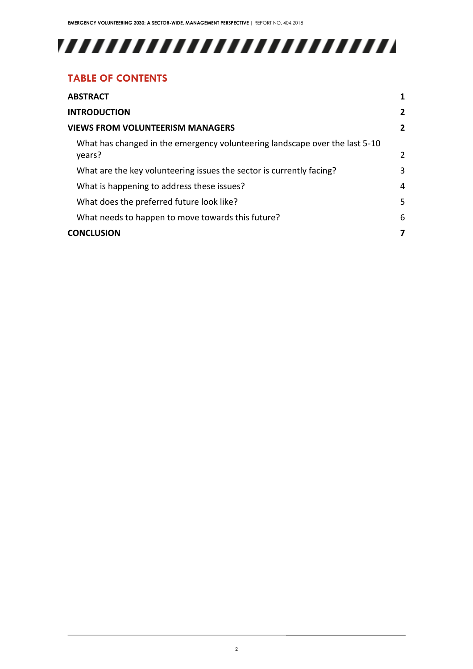# 

### **TABLE OF CONTENTS**

| <b>ABSTRACT</b>                                                                       | 1            |
|---------------------------------------------------------------------------------------|--------------|
| <b>INTRODUCTION</b>                                                                   | 2            |
| <b>VIEWS FROM VOLUNTEERISM MANAGERS</b>                                               | $\mathbf{2}$ |
| What has changed in the emergency volunteering landscape over the last 5-10<br>years? | 2            |
| What are the key volunteering issues the sector is currently facing?                  | 3            |
| What is happening to address these issues?                                            | 4            |
| What does the preferred future look like?                                             | 5            |
| What needs to happen to move towards this future?                                     | 6            |
| <b>CONCLUSION</b>                                                                     | 7            |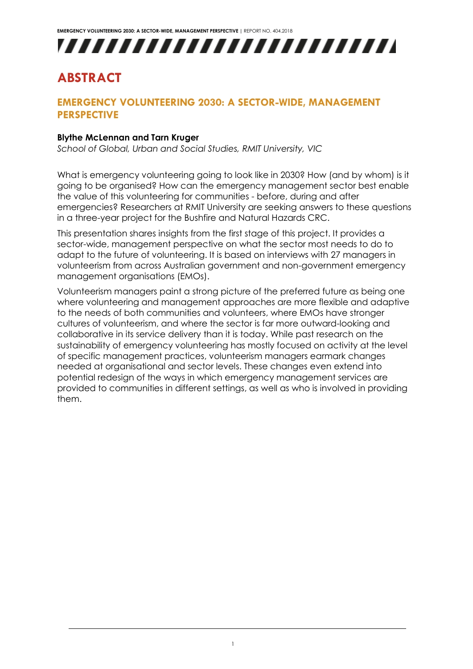

### <span id="page-3-0"></span>**ABSTRACT**

#### **EMERGENCY VOLUNTEERING 2030: A SECTOR-WIDE, MANAGEMENT PERSPECTIVE**

#### **Blythe McLennan and Tarn Kruger**

*School of Global, Urban and Social Studies, RMIT University, VIC*

What is emergency volunteering going to look like in 2030? How (and by whom) is it going to be organised? How can the emergency management sector best enable the value of this volunteering for communities - before, during and after emergencies? Researchers at RMIT University are seeking answers to these questions in a three-year project for the Bushfire and Natural Hazards CRC.

This presentation shares insights from the first stage of this project. It provides a sector-wide, management perspective on what the sector most needs to do to adapt to the future of volunteering. It is based on interviews with 27 managers in volunteerism from across Australian government and non-government emergency management organisations (EMOs).

Volunteerism managers paint a strong picture of the preferred future as being one where volunteering and management approaches are more flexible and adaptive to the needs of both communities and volunteers, where EMOs have stronger cultures of volunteerism, and where the sector is far more outward-looking and collaborative in its service delivery than it is today. While past research on the sustainability of emergency volunteering has mostly focused on activity at the level of specific management practices, volunteerism managers earmark changes needed at organisational and sector levels. These changes even extend into potential redesign of the ways in which emergency management services are provided to communities in different settings, as well as who is involved in providing them.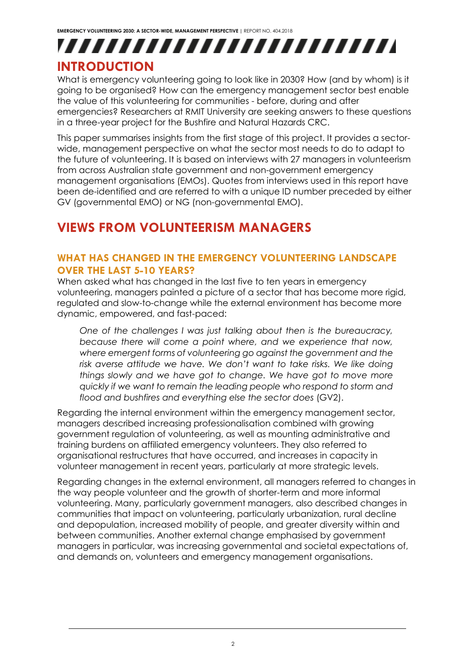### ,,,,,,,,,,,,,,,,,,,,,,,,, **INTRODUCTION**

<span id="page-4-0"></span>What is emergency volunteering going to look like in 2030? How (and by whom) is it going to be organised? How can the emergency management sector best enable the value of this volunteering for communities - before, during and after emergencies? Researchers at RMIT University are seeking answers to these questions in a three-year project for the Bushfire and Natural Hazards CRC.

This paper summarises insights from the first stage of this project. It provides a sectorwide, management perspective on what the sector most needs to do to adapt to the future of volunteering. It is based on interviews with 27 managers in volunteerism from across Australian state government and non-government emergency management organisations (EMOs). Quotes from interviews used in this report have been de-identified and are referred to with a unique ID number preceded by either GV (governmental EMO) or NG (non-governmental EMO).

### <span id="page-4-2"></span><span id="page-4-1"></span>**VIEWS FROM VOLUNTEERISM MANAGERS**

#### **WHAT HAS CHANGED IN THE EMERGENCY VOLUNTEERING LANDSCAPE OVER THE LAST 5-10 YEARS?**

When asked what has changed in the last five to ten years in emergency volunteering, managers painted a picture of a sector that has become more rigid, regulated and slow-to-change while the external environment has become more dynamic, empowered, and fast-paced:

*One of the challenges I was just talking about then is the bureaucracy, because there will come a point where, and we experience that now, where emergent forms of volunteering go against the government and the risk averse attitude we have. We don't want to take risks. We like doing things slowly and we have got to change. We have got to move more quickly if we want to remain the leading people who respond to storm and flood and bushfires and everything else the sector does* (GV2).

Regarding the internal environment within the emergency management sector, managers described increasing professionalisation combined with growing government regulation of volunteering, as well as mounting administrative and training burdens on affiliated emergency volunteers. They also referred to organisational restructures that have occurred, and increases in capacity in volunteer management in recent years, particularly at more strategic levels.

Regarding changes in the external environment, all managers referred to changes in the way people volunteer and the growth of shorter-term and more informal volunteering. Many, particularly government managers, also described changes in communities that impact on volunteering, particularly urbanization, rural decline and depopulation, increased mobility of people, and greater diversity within and between communities. Another external change emphasised by government managers in particular, was increasing governmental and societal expectations of, and demands on, volunteers and emergency management organisations.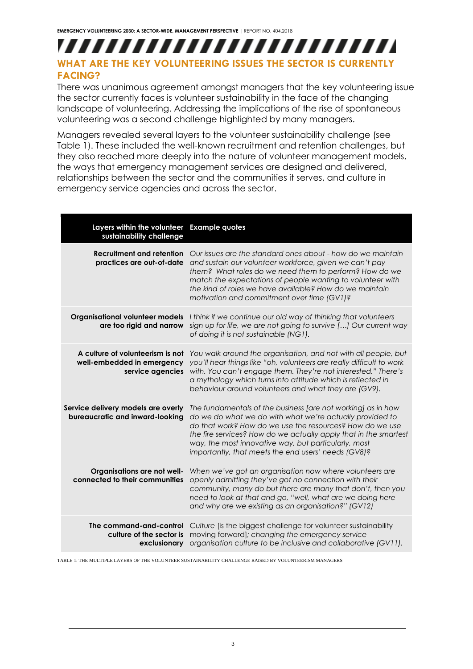### <span id="page-5-0"></span>,,,,,,,,,,,,,,,,,,,,,,,,, **WHAT ARE THE KEY VOLUNTEERING ISSUES THE SECTOR IS CURRENTLY FACING?**

There was unanimous agreement amongst managers that the key volunteering issue the sector currently faces is volunteer sustainability in the face of the changing landscape of volunteering. Addressing the implications of the rise of spontaneous volunteering was a second challenge highlighted by many managers.

Managers revealed several layers to the volunteer sustainability challenge (see Table 1). These included the well-known recruitment and retention challenges, but they also reached more deeply into the nature of volunteer management models, the ways that emergency management services are designed and delivered, relationships between the sector and the communities it serves, and culture in emergency service agencies and across the sector.

| Layers within the volunteer<br>sustainability challenge                            | <b>Example quotes</b>                                                                                                                                                                                                                                                                                                                                                  |
|------------------------------------------------------------------------------------|------------------------------------------------------------------------------------------------------------------------------------------------------------------------------------------------------------------------------------------------------------------------------------------------------------------------------------------------------------------------|
| <b>Recruitment and retention</b><br>practices are out-of-date                      | Our issues are the standard ones about - how do we maintain<br>and sustain our volunteer workforce, given we can't pay<br>them? What roles do we need them to perform? How do we<br>match the expectations of people wanting to volunteer with<br>the kind of roles we have available? How do we maintain<br>motivation and commitment over time (GV1)?                |
| Organisational volunteer models<br>are too rigid and narrow                        | I think if we continue our old way of thinking that volunteers<br>sign up for life, we are not going to survive [] Our current way<br>of doing it is not sustainable (NG1).                                                                                                                                                                                            |
| A culture of volunteerism is not<br>well-embedded in emergency<br>service agencies | You walk around the organisation, and not with all people, but<br>you'll hear things like "oh, volunteers are really difficult to work<br>with. You can't engage them. They're not interested." There's<br>a mythology which turns into attitude which is reflected in<br>behaviour around volunteers and what they are (GV9).                                         |
| Service delivery models are overly<br>bureaucratic and inward-looking              | The fundamentals of the business fare not working as in how<br>do we do what we do with what we're actually provided to<br>do that work? How do we use the resources? How do we use<br>the fire services? How do we actually apply that in the smartest<br>way, the most innovative way, but particularly, most<br>importantly, that meets the end users' needs (GV8)? |
| Organisations are not well-<br>connected to their communities                      | When we've got an organisation now where volunteers are<br>openly admitting they've got no connection with their<br>community, many do but there are many that don't, then you<br>need to look at that and go, "well, what are we doing here<br>and why are we existing as an organisation?" (GV12)                                                                    |
| The command-and-control<br>culture of the sector is<br>exclusionary                | Culture [is the biggest challenge for volunteer sustainability<br>moving forward]; changing the emergency service<br>organisation culture to be inclusive and collaborative (GV11).                                                                                                                                                                                    |

<span id="page-5-1"></span>TABLE 1: THE MULTIPLE LAYERS OF THE VOLUNTEER SUSTAINABILITY CHALLENGE RAISED BY VOLUNTEERISM MANAGERS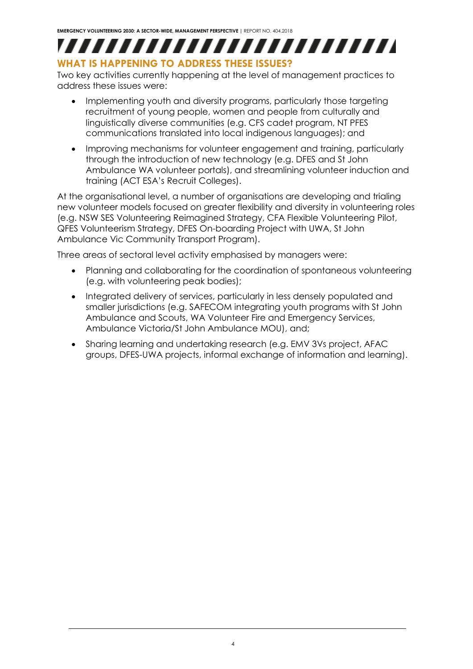### **WHAT IS HAPPENING TO ADDRESS THESE ISSUES?**

Two key activities currently happening at the level of management practices to address these issues were:

- Implementing youth and diversity programs, particularly those targeting recruitment of young people, women and people from culturally and linguistically diverse communities (e.g. CFS cadet program, NT PFES communications translated into local indigenous languages); and
- Improving mechanisms for volunteer engagement and training, particularly through the introduction of new technology (e.g. DFES and St John Ambulance WA volunteer portals), and streamlining volunteer induction and training (ACT ESA's Recruit Colleges).

At the organisational level, a number of organisations are developing and trialing new volunteer models focused on greater flexibility and diversity in volunteering roles (e.g. NSW SES Volunteering Reimagined Strategy, CFA Flexible Volunteering Pilot, QFES Volunteerism Strategy, DFES On-boarding Project with UWA, St John Ambulance Vic Community Transport Program).

Three areas of sectoral level activity emphasised by managers were:

- Planning and collaborating for the coordination of spontaneous volunteering (e.g. with volunteering peak bodies);
- Integrated delivery of services, particularly in less densely populated and smaller jurisdictions (e.g. SAFECOM integrating youth programs with St John Ambulance and Scouts, WA Volunteer Fire and Emergency Services, Ambulance Victoria/St John Ambulance MOU), and;
- <span id="page-6-0"></span>• Sharing learning and undertaking research (e.g. EMV 3Vs project, AFAC groups, DFES-UWA projects, informal exchange of information and learning).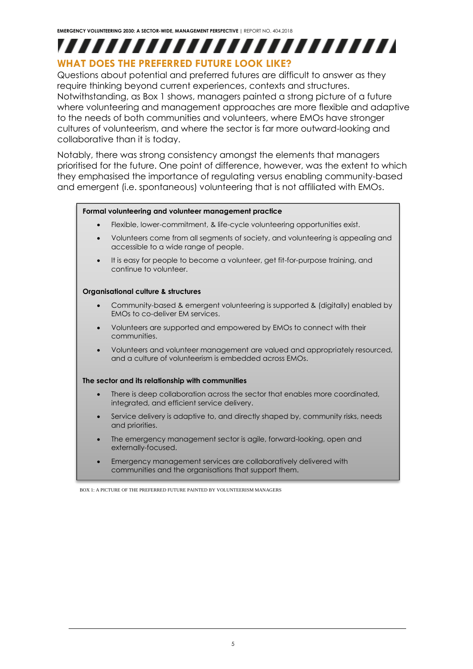#### **WHAT DOES THE PREFERRED FUTURE LOOK LIKE?**

Questions about potential and preferred futures are difficult to answer as they require thinking beyond current experiences, contexts and structures. Notwithstanding, as Box 1 shows, managers painted a strong picture of a future where volunteering and management approaches are more flexible and adaptive to the needs of both communities and volunteers, where EMOs have stronger cultures of volunteerism, and where the sector is far more outward-looking and collaborative than it is today.

Notably, there was strong consistency amongst the elements that managers prioritised for the future. One point of difference, however, was the extent to which they emphasised the importance of regulating versus enabling community-based and emergent (i.e. spontaneous) volunteering that is not affiliated with EMOs.

#### **Formal volunteering and volunteer management practice**

- Flexible, lower-commitment, & life-cycle volunteering opportunities exist.
- Volunteers come from all segments of society, and volunteering is appealing and accessible to a wide range of people.
- It is easy for people to become a volunteer, get fit-for-purpose training, and continue to volunteer.

#### **Organisational culture & structures**

- Community-based & emergent volunteering is supported & (digitally) enabled by EMOs to co-deliver EM services.
- Volunteers are supported and empowered by EMOs to connect with their communities.
- Volunteers and volunteer management are valued and appropriately resourced, and a culture of volunteerism is embedded across EMOs.

#### **The sector and its relationship with communities**

- There is deep collaboration across the sector that enables more coordinated, integrated, and efficient service delivery.
- Service delivery is adaptive to, and directly shaped by, community risks, needs and priorities.
- The emergency management sector is agile, forward-looking, open and externally-focused.
- Emergency management services are collaboratively delivered with communities and the organisations that support them.

<span id="page-7-0"></span>BOX 1: A PICTURE OF THE PREFERRED FUTURE PAINTED BY VOLUNTEERISM MANAGERS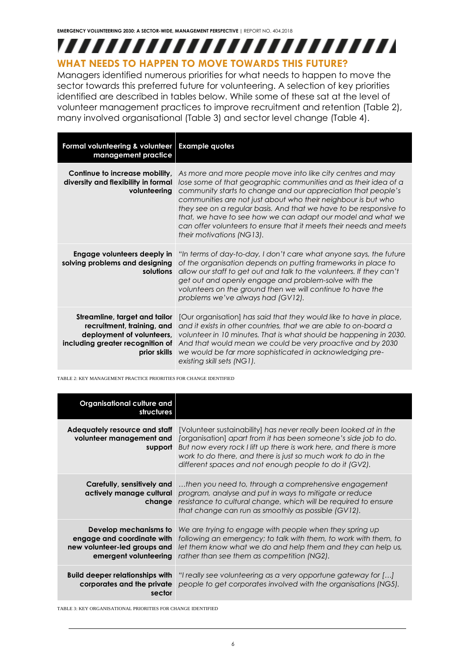#### **WHAT NEEDS TO HAPPEN TO MOVE TOWARDS THIS FUTURE?**

Managers identified numerous priorities for what needs to happen to move the sector towards this preferred future for volunteering. A selection of key priorities identified are described in tables below. While some of these sat at the level of volunteer management practices to improve recruitment and retention (Table 2), many involved organisational (Table 3) and sector level change (Table 4).

| Formal volunteering & volunteer<br>management practice                                | <b>Example quotes</b>                                                                                                                                                                                                                                                                                                                                                                                                                                                                                   |
|---------------------------------------------------------------------------------------|---------------------------------------------------------------------------------------------------------------------------------------------------------------------------------------------------------------------------------------------------------------------------------------------------------------------------------------------------------------------------------------------------------------------------------------------------------------------------------------------------------|
| Continue to increase mobility,<br>diversity and flexibility in formal<br>volunteering | As more and more people move into like city centres and may<br>lose some of that geographic communities and as their idea of a<br>community starts to change and our appreciation that people's<br>communities are not just about who their neighbour is but who<br>they see on a regular basis. And that we have to be responsive to<br>that, we have to see how we can adapt our model and what we<br>can offer volunteers to ensure that it meets their needs and meets<br>their motivations (NG13). |
| Engage volunteers deeply in<br>solving problems and designing<br>solutions            | "In terms of day-to-day, I don't care what anyone says, the future<br>of the organisation depends on putting frameworks in place to<br>allow our staff to get out and talk to the volunteers. If they can't<br>get out and openly engage and problem-solve with the<br>volunteers on the ground then we will continue to have the<br>problems we've always had (GV12).                                                                                                                                  |
| Streamline, target and tailor<br>prior skills                                         | [Our organisation] has said that they would like to have in place,<br>recruitment, training, and and it exists in other countries, that we are able to on-board a<br><b>deployment of volunteers</b> , volunteer in 10 minutes. That is what should be happening in 2030.<br>including greater recognition of And that would mean we could be very proactive and by 2030<br>we would be far more sophisticated in acknowledging pre-<br>existing skill sets (NG1).                                      |

TABLE 2: KEY MANAGEMENT PRACTICE PRIORITIES FOR CHANGE IDENTIFIED

| Organisational culture and<br>structures                                                                     |                                                                                                                                                                                                                                                                                                                                       |
|--------------------------------------------------------------------------------------------------------------|---------------------------------------------------------------------------------------------------------------------------------------------------------------------------------------------------------------------------------------------------------------------------------------------------------------------------------------|
| Adequately resource and staff<br>volunteer management and<br>support                                         | [Volunteer sustainability] has never really been looked at in the<br>[organisation] apart from it has been someone's side job to do.<br>But now every rock I lift up there is work here, and there is more<br>work to do there, and there is just so much work to do in the<br>different spaces and not enough people to do it (GV2). |
| Carefully, sensitively and<br>actively manage cultural<br>change                                             | then you need to, through a comprehensive engagement<br>program, analyse and put in ways to mitigate or reduce<br>resistance to cultural change, which will be required to ensure<br>that change can run as smoothly as possible (GV12).                                                                                              |
| Develop mechanisms to<br>engage and coordinate with<br>new volunteer-led groups and<br>emergent volunteering | We are trying to engage with people when they spring up<br>following an emergency; to talk with them, to work with them, to<br>let them know what we do and help them and they can help us,<br>rather than see them as competition (NG2).                                                                                             |
| <b>Build deeper relationships with</b><br>corporates and the private<br>sector                               | "I really see volunteering as a very opportune gateway for []<br>people to get corporates involved with the organisations (NG5).                                                                                                                                                                                                      |

TABLE 3: KEY ORGANISATIONAL PRIORITIES FOR CHANGE IDENTIFIED